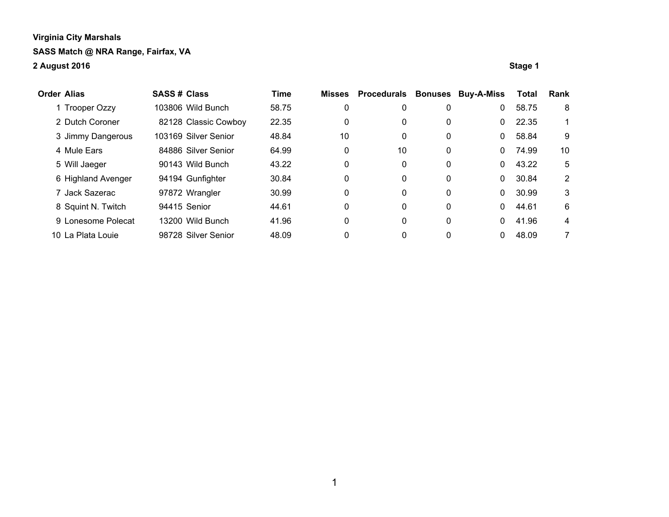| <b>Order Alias</b> |                    | <b>SASS # Class</b> |                      | Time  | <b>Misses</b> | Procedurals | <b>Bonuses</b> | <b>Buy-A-Miss</b> | <b>Total</b> | Rank |
|--------------------|--------------------|---------------------|----------------------|-------|---------------|-------------|----------------|-------------------|--------------|------|
|                    | 1 Trooper Ozzy     |                     | 103806 Wild Bunch    | 58.75 | 0             | 0           | 0              | 0                 | 58.75        | 8    |
|                    | 2 Dutch Coroner    |                     | 82128 Classic Cowboy | 22.35 | 0             | 0           | 0              | 0                 | 22.35        |      |
|                    | 3 Jimmy Dangerous  |                     | 103169 Silver Senior | 48.84 | 10            | 0           | 0              | 0                 | 58.84        | 9    |
|                    | 4 Mule Ears        |                     | 84886 Silver Senior  | 64.99 | 0             | 10          | 0              | 0                 | 74.99        | 10   |
|                    | 5 Will Jaeger      |                     | 90143 Wild Bunch     | 43.22 | 0             | 0           | 0              | 0.                | 43.22        | 5    |
|                    | 6 Highland Avenger |                     | 94194 Gunfighter     | 30.84 | 0             | 0           | 0              | $\Omega$          | 30.84        | 2    |
|                    | 7 Jack Sazerac     |                     | 97872 Wrangler       | 30.99 | 0             | 0           | 0              | 0                 | 30.99        | 3    |
|                    | 8 Squint N. Twitch |                     | 94415 Senior         | 44.61 | 0             | 0           | $\mathbf 0$    | 0                 | 44.61        | 6    |
|                    | 9 Lonesome Polecat |                     | 13200 Wild Bunch     | 41.96 | 0             | 0           | 0              | 0                 | 41.96        | 4    |
|                    | 10 La Plata Louie  |                     | 98728 Silver Senior  | 48.09 | 0             | 0           | 0              |                   | 48.09        | 7    |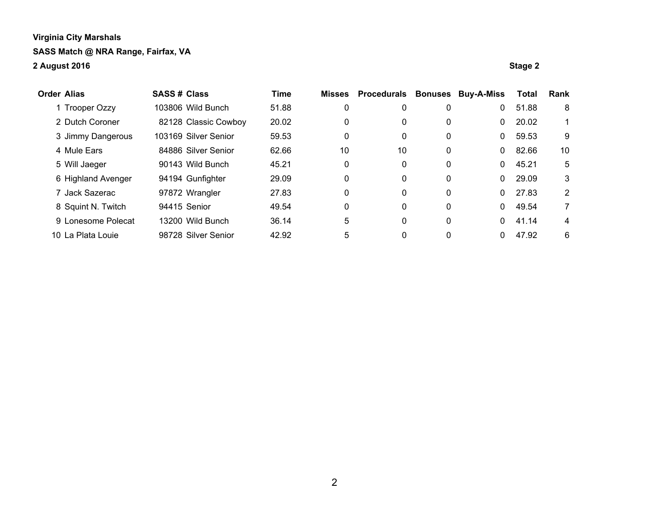| <b>Order Alias</b> |                    | <b>SASS # Class</b> |                      | <b>Time</b> | Misses | <b>Procedurals</b> | <b>Bonuses</b> | <b>Buy-A-Miss</b> | <b>Total</b> | Rank |
|--------------------|--------------------|---------------------|----------------------|-------------|--------|--------------------|----------------|-------------------|--------------|------|
|                    | 1 Trooper Ozzy     |                     | 103806 Wild Bunch    | 51.88       | 0      | 0                  | 0              | 0                 | 51.88        | 8    |
|                    | 2 Dutch Coroner    |                     | 82128 Classic Cowboy | 20.02       | 0      | 0                  | 0              | 0                 | 20.02        |      |
|                    | 3 Jimmy Dangerous  |                     | 103169 Silver Senior | 59.53       | 0      | 0                  | 0              | 0                 | 59.53        | 9    |
|                    | 4 Mule Ears        |                     | 84886 Silver Senior  | 62.66       | 10     | 10                 | 0              | 0                 | 82.66        | 10   |
|                    | 5 Will Jaeger      |                     | 90143 Wild Bunch     | 45.21       | 0      | 0                  | 0              | 0                 | 45.21        | 5    |
|                    | 6 Highland Avenger |                     | 94194 Gunfighter     | 29.09       | 0      | 0                  | 0              | 0                 | 29.09        | 3    |
|                    | 7 Jack Sazerac     |                     | 97872 Wrangler       | 27.83       | 0      | 0                  | 0              | 0                 | 27.83        | 2    |
|                    | 8 Squint N. Twitch |                     | 94415 Senior         | 49.54       | 0      | 0                  | $\mathbf{0}$   | 0                 | 49.54        | 7    |
|                    | 9 Lonesome Polecat |                     | 13200 Wild Bunch     | 36.14       | 5      | 0                  | $\mathbf{0}$   | 0                 | 41.14        | 4    |
|                    | 10 La Plata Louie  |                     | 98728 Silver Senior  | 42.92       | 5      | 0                  | 0              |                   | 47.92        | 6    |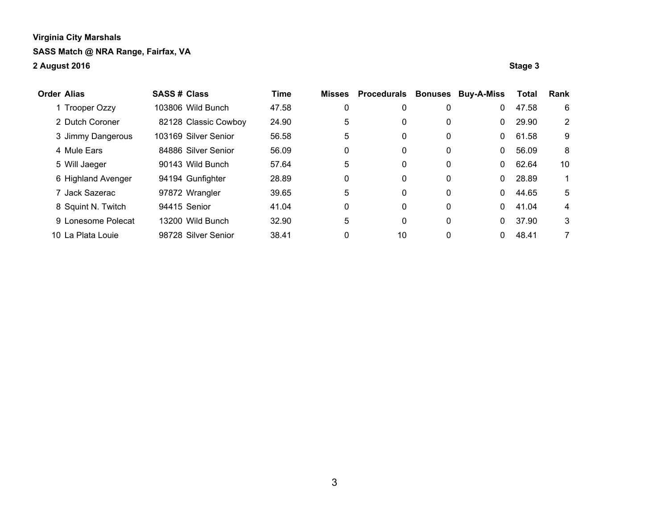| <b>Order Alias</b> |                    | <b>SASS # Class</b> |                      | Time  | Misses | <b>Procedurals</b> | <b>Bonuses</b> | <b>Buy-A-Miss</b> | <b>Total</b> | Rank |
|--------------------|--------------------|---------------------|----------------------|-------|--------|--------------------|----------------|-------------------|--------------|------|
|                    | 1 Trooper Ozzy     |                     | 103806 Wild Bunch    | 47.58 | 0      | 0                  | 0              | 0                 | 47.58        | 6    |
|                    | 2 Dutch Coroner    |                     | 82128 Classic Cowboy | 24.90 | 5      | 0                  | 0              | 0                 | 29.90        | 2    |
|                    | 3 Jimmy Dangerous  |                     | 103169 Silver Senior | 56.58 | 5      | 0                  | 0              | 0                 | 61.58        | 9    |
|                    | 4 Mule Ears        |                     | 84886 Silver Senior  | 56.09 | 0      | 0                  | 0              | 0                 | 56.09        | 8    |
|                    | 5 Will Jaeger      |                     | 90143 Wild Bunch     | 57.64 | 5      | 0                  | 0              | 0                 | 62.64        | 10   |
|                    | 6 Highland Avenger |                     | 94194 Gunfighter     | 28.89 | 0      | 0                  | $\mathbf{0}$   | 0                 | 28.89        |      |
|                    | 7 Jack Sazerac     |                     | 97872 Wrangler       | 39.65 | 5      | 0                  | 0              | 0                 | 44.65        | 5    |
|                    | 8 Squint N. Twitch |                     | 94415 Senior         | 41.04 | 0      | 0                  | $\mathbf{0}$   | 0                 | 41.04        | 4    |
|                    | 9 Lonesome Polecat |                     | 13200 Wild Bunch     | 32.90 | 5      | 0                  | 0              | 0                 | 37.90        | 3    |
|                    | 10 La Plata Louie  |                     | 98728 Silver Senior  | 38.41 | 0      | 10                 | 0              |                   | 48.41        | 7    |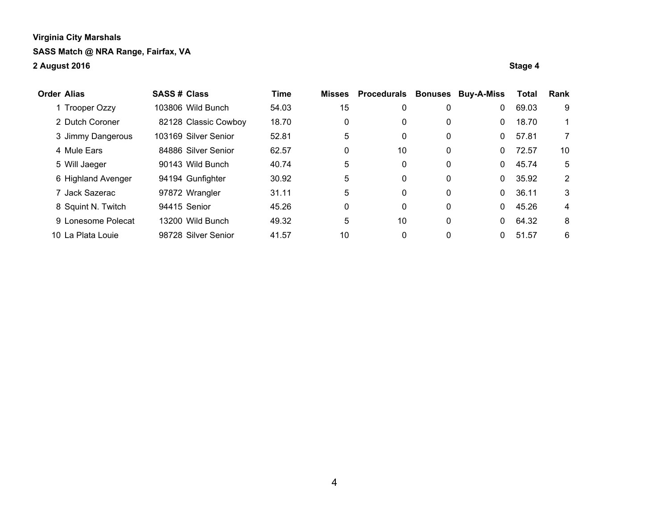| <b>Order Alias</b> |                    | <b>SASS# Class</b> |                      | Time  | <b>Misses</b> | <b>Procedurals</b> | <b>Bonuses</b> | <b>Buy-A-Miss</b> | <b>Total</b> | Rank |
|--------------------|--------------------|--------------------|----------------------|-------|---------------|--------------------|----------------|-------------------|--------------|------|
|                    | 1 Trooper Ozzy     |                    | 103806 Wild Bunch    | 54.03 | 15            | 0                  | 0              | 0                 | 69.03        | 9    |
|                    | 2 Dutch Coroner    |                    | 82128 Classic Cowboy | 18.70 | 0             | 0                  | 0              | 0                 | 18.70        |      |
|                    | 3 Jimmy Dangerous  |                    | 103169 Silver Senior | 52.81 | 5             | 0                  | 0              | 0                 | 57.81        | 7    |
|                    | 4 Mule Ears        |                    | 84886 Silver Senior  | 62.57 | 0             | 10                 | 0              | 0                 | 72.57        | 10   |
|                    | 5 Will Jaeger      |                    | 90143 Wild Bunch     | 40.74 | 5             | 0                  | 0              | 0                 | 45.74        | 5    |
|                    | 6 Highland Avenger |                    | 94194 Gunfighter     | 30.92 | 5             | 0                  | 0              | 0                 | 35.92        | 2    |
|                    | 7 Jack Sazerac     |                    | 97872 Wrangler       | 31.11 | 5             | 0                  | 0              | 0                 | 36.11        | 3    |
|                    | 8 Squint N. Twitch |                    | 94415 Senior         | 45.26 | 0             | 0                  | 0              | 0                 | 45.26        | 4    |
|                    | 9 Lonesome Polecat |                    | 13200 Wild Bunch     | 49.32 | 5             | 10                 | 0              | 0                 | 64.32        | 8    |
|                    | 10 La Plata Louie  |                    | 98728 Silver Senior  | 41.57 | 10            | 0                  |                | 0                 | 51.57        | 6    |